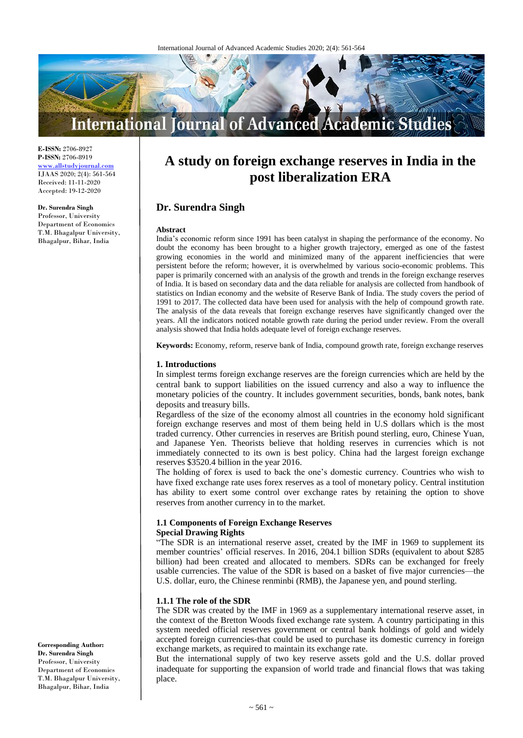

**E-ISSN:** 2706-8927 **P-ISSN:** 2706-8919 <www.allstudyjournal.com> IJAAS 2020; 2(4): 561-564 Received: 11-11-2020 Accepted: 19-12-2020

#### **Dr. Surendra Singh**

Professor, University Department of Economics T.M. Bhagalpur University, Bhagalpur, Bihar, India

# **A study on foreign exchange reserves in India in the post liberalization ERA**

## **Dr. Surendra Singh**

#### **Abstract**

India's economic reform since 1991 has been catalyst in shaping the performance of the economy. No doubt the economy has been brought to a higher growth trajectory, emerged as one of the fastest growing economies in the world and minimized many of the apparent inefficiencies that were persistent before the reform; however, it is overwhelmed by various socio-economic problems. This paper is primarily concerned with an analysis of the growth and trends in the foreign exchange reserves of India. It is based on secondary data and the data reliable for analysis are collected from handbook of statistics on Indian economy and the website of Reserve Bank of India. The study covers the period of 1991 to 2017. The collected data have been used for analysis with the help of compound growth rate. The analysis of the data reveals that foreign exchange reserves have significantly changed over the years. All the indicators noticed notable growth rate during the period under review. From the overall analysis showed that India holds adequate level of foreign exchange reserves.

**Keywords:** Economy, reform, reserve bank of India, compound growth rate, foreign exchange reserves

#### **1. Introductions**

In simplest terms foreign exchange reserves are the foreign currencies which are held by the central bank to support liabilities on the issued currency and also a way to influence the monetary policies of the country. It includes government securities, bonds, bank notes, bank deposits and treasury bills.

Regardless of the size of the economy almost all countries in the economy hold significant foreign exchange reserves and most of them being held in U.S dollars which is the most traded currency. Other currencies in reserves are British pound sterling, euro, Chinese Yuan, and Japanese Yen. Theorists believe that holding reserves in currencies which is not immediately connected to its own is best policy. China had the largest foreign exchange reserves \$3520.4 billion in the year 2016.

The holding of forex is used to back the one's domestic currency. Countries who wish to have fixed exchange rate uses forex reserves as a tool of monetary policy. Central institution has ability to exert some control over exchange rates by retaining the option to shove reserves from another currency in to the market.

#### **1.1 Components of Foreign Exchange Reserves Special Drawing Rights**

"The SDR is an international reserve asset, created by the IMF in 1969 to supplement its member countries' official reserves. In 2016, 204.1 billion SDRs (equivalent to about \$285 billion) had been created and allocated to members. SDRs can be exchanged for freely usable currencies. The value of the SDR is based on a basket of five major currencies—the U.S. dollar, euro, the Chinese renminbi (RMB), the Japanese yen, and pound sterling.

#### **1.1.1 The role of the SDR**

The SDR was created by the IMF in 1969 as a supplementary international reserve asset, in the context of the Bretton Woods fixed exchange rate system. A country participating in this system needed official reserves government or central bank holdings of gold and widely accepted foreign currencies-that could be used to purchase its domestic currency in foreign exchange markets, as required to maintain its exchange rate.

But the international supply of two key reserve assets gold and the U.S. dollar proved inadequate for supporting the expansion of world trade and financial flows that was taking place.

**Corresponding Author: Dr. Surendra Singh** Professor, University Department of Economics T.M. Bhagalpur University, Bhagalpur, Bihar, India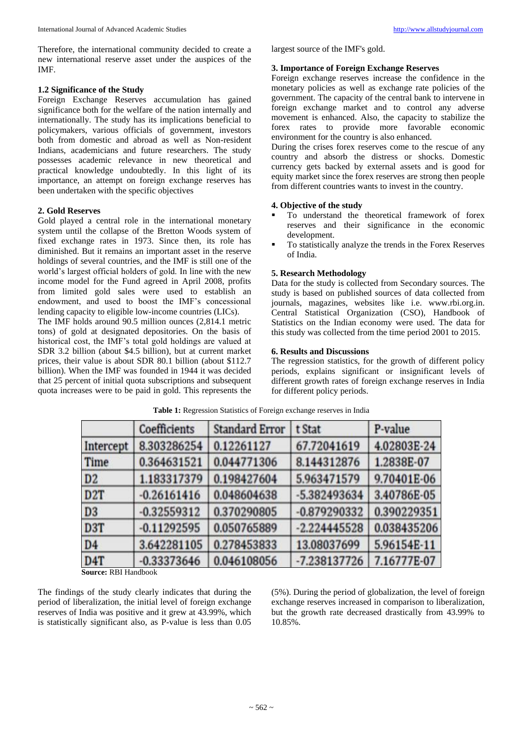Therefore, the international community decided to create a new international reserve asset under the auspices of the IMF.

#### **1.2 Significance of the Study**

Foreign Exchange Reserves accumulation has gained significance both for the welfare of the nation internally and internationally. The study has its implications beneficial to policymakers, various officials of government, investors both from domestic and abroad as well as Non-resident Indians, academicians and future researchers. The study possesses academic relevance in new theoretical and practical knowledge undoubtedly. In this light of its importance, an attempt on foreign exchange reserves has been undertaken with the specific objectives

### **2. Gold Reserves**

Gold played a central role in the international monetary system until the collapse of the Bretton Woods system of fixed exchange rates in 1973. Since then, its role has diminished. But it remains an important asset in the reserve holdings of several countries, and the IMF is still one of the world's largest official holders of gold. In line with the new income model for the Fund agreed in April 2008, profits from limited gold sales were used to establish an endowment, and used to boost the IMF's concessional lending capacity to eligible low-income countries (LICs).

The IMF holds around 90.5 million ounces (2,814.1 metric tons) of gold at designated depositories. On the basis of historical cost, the IMF's total gold holdings are valued at SDR 3.2 billion (about \$4.5 billion), but at current market prices, their value is about SDR 80.1 billion (about \$112.7 billion). When the IMF was founded in 1944 it was decided that 25 percent of initial quota subscriptions and subsequent quota increases were to be paid in gold. This represents the largest source of the IMF's gold.

# **3. Importance of Foreign Exchange Reserves**

Foreign exchange reserves increase the confidence in the monetary policies as well as exchange rate policies of the government. The capacity of the central bank to intervene in foreign exchange market and to control any adverse movement is enhanced. Also, the capacity to stabilize the forex rates to provide more favorable economic environment for the country is also enhanced.

During the crises forex reserves come to the rescue of any country and absorb the distress or shocks. Domestic currency gets backed by external assets and is good for equity market since the forex reserves are strong then people from different countries wants to invest in the country.

## **4. Objective of the study**

- To understand the theoretical framework of forex reserves and their significance in the economic development.
- To statistically analyze the trends in the Forex Reserves of India.

### **5. Research Methodology**

Data for the study is collected from Secondary sources. The study is based on published sources of data collected from journals, magazines, websites like i.e. www.rbi.org.in. Central Statistical Organization (CSO), Handbook of Statistics on the Indian economy were used. The data for this study was collected from the time period 2001 to 2015.

## **6. Results and Discussions**

The regression statistics, for the growth of different policy periods, explains significant or insignificant levels of different growth rates of foreign exchange reserves in India for different policy periods.

|                  | Coefficients  | <b>Standard Error</b> | t Stat         | P-value     |
|------------------|---------------|-----------------------|----------------|-------------|
| Intercept        | 8.303286254   | 0.12261127            | 67.72041619    | 4.02803E-24 |
| Time             | 0.364631521   | 0.044771306           | 8.144312876    | 1.2838E-07  |
| D <sub>2</sub>   | 1.183317379   | 0.198427604           | 5.963471579    | 9.70401E-06 |
| D <sub>2</sub> T | $-0.26161416$ | 0.048604638           | -5.382493634   | 3.40786E-05 |
| D <sub>3</sub>   | $-0.32559312$ | 0.370290805           | $-0.879290332$ | 0.390229351 |
| D3T              | $-0.11292595$ | 0.050765889           | $-2.224445528$ | 0.038435206 |
| D <sub>4</sub>   | 3.642281105   | 0.278453833           | 13.08037699    | 5.96154E-11 |
| D <sub>4</sub> T | $-0.33373646$ | 0.046108056           | $-7.238137726$ | 7.16777E-07 |

**Table 1:** Regression Statistics of Foreign exchange reserves in India

**Source:** RBI Handbook

The findings of the study clearly indicates that during the period of liberalization, the initial level of foreign exchange reserves of India was positive and it grew at 43.99%, which is statistically significant also, as P-value is less than 0.05

(5%). During the period of globalization, the level of foreign exchange reserves increased in comparison to liberalization, but the growth rate decreased drastically from 43.99% to 10.85%.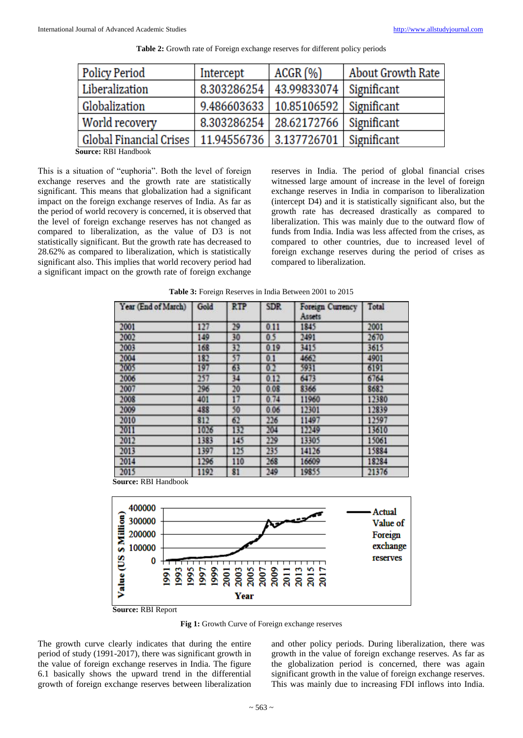| <b>Policy Period</b>    | Intercept   | ACGR (%)                            | About Growth Rate |  |
|-------------------------|-------------|-------------------------------------|-------------------|--|
| Liberalization          | 8.303286254 | 43.99833074                         | Significant       |  |
| Globalization           | 9.486603633 | $10.85106592$ Significant           |                   |  |
| World recovery          | 8.303286254 | 28.62172766   Significant           |                   |  |
| Global Financial Crises |             | 11.94556736 3.137726701 Significant |                   |  |

**Table 2:** Growth rate of Foreign exchange reserves for different policy periods

**Source:** RBI Handbook

This is a situation of "euphoria". Both the level of foreign exchange reserves and the growth rate are statistically significant. This means that globalization had a significant impact on the foreign exchange reserves of India. As far as the period of world recovery is concerned, it is observed that the level of foreign exchange reserves has not changed as compared to liberalization, as the value of D3 is not statistically significant. But the growth rate has decreased to 28.62% as compared to liberalization, which is statistically significant also. This implies that world recovery period had a significant impact on the growth rate of foreign exchange

reserves in India. The period of global financial crises witnessed large amount of increase in the level of foreign exchange reserves in India in comparison to liberalization (intercept D4) and it is statistically significant also, but the growth rate has decreased drastically as compared to liberalization. This was mainly due to the outward flow of funds from India. India was less affected from the crises, as compared to other countries, due to increased level of foreign exchange reserves during the period of crises as compared to liberalization.

| Year (End of March) | Gold | <b>RTP</b> | <b>SDR</b> | Foreign Currency<br>Assets | Total |
|---------------------|------|------------|------------|----------------------------|-------|
| 2001                | 127  | 29         | 0.11       | 1845                       | 2001  |
| 2002                | 149  | 30         | 0.5        | 2491                       | 2670  |
| 2003                | 168  | 32         | 0.19       | 3415                       | 3615  |
| 2004                | 182  | 57         | 0.1        | 4662                       | 4901  |
| 2005                | 197  | 63         | 0.2        | 5931                       | 6191  |
| 2006                | 257  | 34         | 0.12       | 6473                       | 6764  |
| 2007                | 296  | 20         | 0.08       | 8366                       | 8682  |
| 2008                | 401  | 17         | 0.74       | 11960                      | 12380 |
| 2009                | 488  | 50         | 0.06       | 12301                      | 12839 |
| 2010                | 812  | 62         | 226        | 11497                      | 12597 |
| 2011                | 1026 | 132        | 204        | 12249                      | 13610 |
| 2012                | 1383 | 145        | 229        | 13305                      | 15061 |
| 2013                | 1397 | 125        | 235        | 14126                      | 15884 |
| 2014                | 1296 | 110        | 268        | 16609                      | 18284 |
| 2015                | 1192 | 81         | 249        | 19855                      | 21376 |

**Table 3:** Foreign Reserves in India Between 2001 to 2015

**Source:** RBI Handbook



**Source:** RBI Report

**Fig 1:** Growth Curve of Foreign exchange reserves

The growth curve clearly indicates that during the entire period of study (1991-2017), there was significant growth in the value of foreign exchange reserves in India. The figure 6.1 basically shows the upward trend in the differential growth of foreign exchange reserves between liberalization

and other policy periods. During liberalization, there was growth in the value of foreign exchange reserves. As far as the globalization period is concerned, there was again significant growth in the value of foreign exchange reserves. This was mainly due to increasing FDI inflows into India.